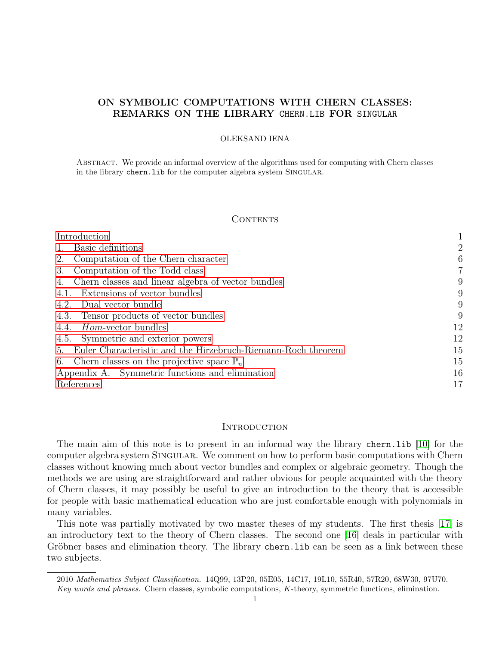# ON SYMBOLIC COMPUTATIONS WITH CHERN CLASSES: REMARKS ON THE LIBRARY CHERN.LIB FOR SINGULAR

### OLEKSAND IENA

Abstract. We provide an informal overview of the algorithms used for computing with Chern classes in the library chern.lib for the computer algebra system SINGULAR.

## **CONTENTS**

| Introduction                                                                     |    |
|----------------------------------------------------------------------------------|----|
| Basic definitions                                                                | 2  |
| Computation of the Chern character<br>2.                                         | 6  |
| Computation of the Todd class<br>3.                                              | 7  |
| Chern classes and linear algebra of vector bundles<br>4.                         | 9  |
| 4.1. Extensions of vector bundles                                                | 9  |
| 4.2. Dual vector bundle                                                          | 9  |
| 4.3. Tensor products of vector bundles                                           | 9  |
| 4.4. <i>Hom</i> -vector bundles                                                  | 12 |
| 4.5. Symmetric and exterior powers                                               | 12 |
| Euler Characteristic and the Hirzebruch-Riemann-Roch theorem<br>$\mathfrak{h}$ . | 15 |
| 6. Chern classes on the projective space $\mathbb{P}_n$                          | 15 |
| Appendix A. Symmetric functions and elimination                                  | 16 |
| References                                                                       | 17 |

### <span id="page-0-0"></span>**INTRODUCTION**

The main aim of this note is to present in an informal way the library chern.lib [\[10\]](#page-17-0) for the computer algebra system SINGULAR. We comment on how to perform basic computations with Chern classes without knowing much about vector bundles and complex or algebraic geometry. Though the methods we are using are straightforward and rather obvious for people acquainted with the theory of Chern classes, it may possibly be useful to give an introduction to the theory that is accessible for people with basic mathematical education who are just comfortable enough with polynomials in many variables.

This note was partially motivated by two master theses of my students. The first thesis [\[17\]](#page-17-1) is an introductory text to the theory of Chern classes. The second one [\[16\]](#page-17-2) deals in particular with Gröbner bases and elimination theory. The library chern.lib can be seen as a link between these two subjects.

<sup>2010</sup> Mathematics Subject Classification. 14Q99, 13P20, 05E05, 14C17, 19L10, 55R40, 57R20, 68W30, 97U70. Key words and phrases. Chern classes, symbolic computations, K-theory, symmetric functions, elimination.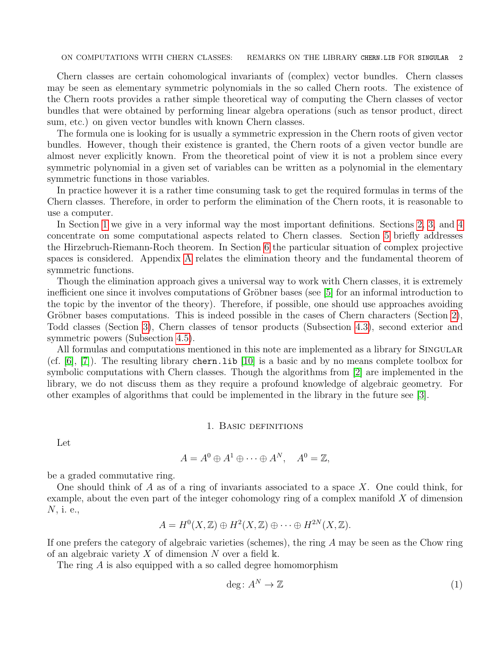ON COMPUTATIONS WITH CHERN CLASSES: REMARKS ON THE LIBRARY CHERN.LIB FOR SINGULAR 2

Chern classes are certain cohomological invariants of (complex) vector bundles. Chern classes may be seen as elementary symmetric polynomials in the so called Chern roots. The existence of the Chern roots provides a rather simple theoretical way of computing the Chern classes of vector bundles that were obtained by performing linear algebra operations (such as tensor product, direct sum, etc.) on given vector bundles with known Chern classes.

The formula one is looking for is usually a symmetric expression in the Chern roots of given vector bundles. However, though their existence is granted, the Chern roots of a given vector bundle are almost never explicitly known. From the theoretical point of view it is not a problem since every symmetric polynomial in a given set of variables can be written as a polynomial in the elementary symmetric functions in those variables.

In practice however it is a rather time consuming task to get the required formulas in terms of the Chern classes. Therefore, in order to perform the elimination of the Chern roots, it is reasonable to use a computer.

In Section [1](#page-1-0) we give in a very informal way the most important definitions. Sections [2,](#page-5-0) [3,](#page-6-0) and [4](#page-8-0) concentrate on some computational aspects related to Chern classes. Section [5](#page-14-0) briefly addresses the Hirzebruch-Riemann-Roch theorem. In Section [6](#page-14-1) the particular situation of complex projective spaces is considered. Appendix [A](#page-15-0) relates the elimination theory and the fundamental theorem of symmetric functions.

Though the elimination approach gives a universal way to work with Chern classes, it is extremely inefficient one since it involves computations of Gröbner bases (see  $[5]$  for an informal introduction to the topic by the inventor of the theory). Therefore, if possible, one should use approaches avoiding Gröbner bases computations. This is indeed possible in the cases of Chern characters (Section [2\)](#page-5-0), Todd classes (Section [3\)](#page-6-0), Chern classes of tensor products (Subsection [4.3\)](#page-8-3), second exterior and symmetric powers (Subsection [4.5\)](#page-11-1).

All formulas and computations mentioned in this note are implemented as a library for SINGULAR (cf.  $|6|, |7|$ ). The resulting library chern. Lib  $|10|$  is a basic and by no means complete toolbox for symbolic computations with Chern classes. Though the algorithms from [\[2\]](#page-16-4) are implemented in the library, we do not discuss them as they require a profound knowledge of algebraic geometry. For other examples of algorithms that could be implemented in the library in the future see [\[3\]](#page-16-5).

### 1. Basic definitions

<span id="page-1-0"></span>Let

$$
A = A^0 \oplus A^1 \oplus \cdots \oplus A^N, \quad A^0 = \mathbb{Z},
$$

be a graded commutative ring.

One should think of A as of a ring of invariants associated to a space X. One could think, for example, about the even part of the integer cohomology ring of a complex manifold  $X$  of dimension N, i. e.,

$$
A = H^{0}(X, \mathbb{Z}) \oplus H^{2}(X, \mathbb{Z}) \oplus \cdots \oplus H^{2N}(X, \mathbb{Z}).
$$

If one prefers the category of algebraic varieties (schemes), the ring  $A$  may be seen as the Chow ring of an algebraic variety X of dimension N over a field  $\mathbb{k}$ .

The ring A is also equipped with a so called degree homomorphism

<span id="page-1-1"></span>
$$
\deg: A^N \to \mathbb{Z} \tag{1}
$$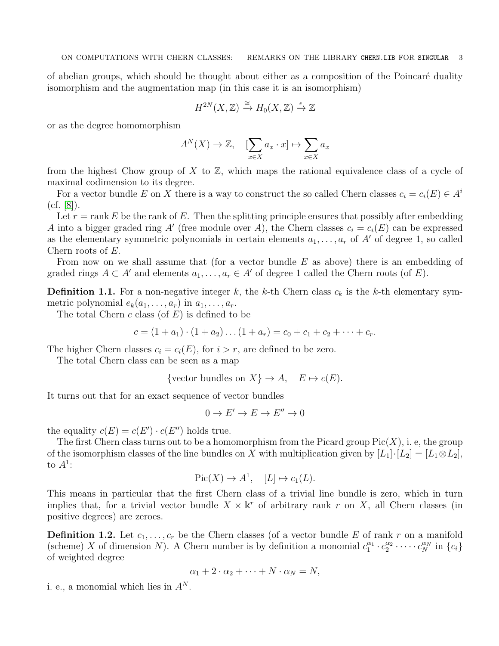of abelian groups, which should be thought about either as a composition of the Poincaré duality isomorphism and the augmentation map (in this case it is an isomorphism)

$$
H^{2N}(X,\mathbb{Z}) \xrightarrow{\cong} H_0(X,\mathbb{Z}) \xrightarrow{\epsilon} \mathbb{Z}
$$

or as the degree homomorphism

$$
A^N(X) \to \mathbb{Z}, \quad [\sum_{x \in X} a_x \cdot x] \mapsto \sum_{x \in X} a_x
$$

from the highest Chow group of X to  $\mathbb{Z}$ , which maps the rational equivalence class of a cycle of maximal codimension to its degree.

For a vector bundle E on X there is a way to construct the so called Chern classes  $c_i = c_i(E) \in A^i$ (cf. [\[8\]](#page-16-6)).

Let  $r = \text{rank } E$  be the rank of E. Then the splitting principle ensures that possibly after embedding A into a bigger graded ring A' (free module over A), the Chern classes  $c_i = c_i(E)$  can be expressed as the elementary symmetric polynomials in certain elements  $a_1, \ldots, a_r$  of A' of degree 1, so called Chern roots of E.

From now on we shall assume that (for a vector bundle E as above) there is an embedding of graded rings  $A \subset A'$  and elements  $a_1, \ldots, a_r \in A'$  of degree 1 called the Chern roots (of E).

<span id="page-2-0"></span>**Definition 1.1.** For a non-negative integer k, the k-th Chern class  $c_k$  is the k-th elementary symmetric polynomial  $e_k(a_1, \ldots, a_r)$  in  $a_1, \ldots, a_r$ .

The total Chern  $c$  class (of  $E$ ) is defined to be

 $c = (1 + a_1) \cdot (1 + a_2) \dots (1 + a_r) = c_0 + c_1 + c_2 + \dots + c_r.$ 

The higher Chern classes  $c_i = c_i(E)$ , for  $i > r$ , are defined to be zero.

The total Chern class can be seen as a map

{vector bundles on  $X$ }  $\rightarrow A$ ,  $E \mapsto c(E)$ .

It turns out that for an exact sequence of vector bundles

 $0 \to E' \to E \to E'' \to 0$ 

the equality  $c(E) = c(E') \cdot c(E'')$  holds true.

The first Chern class turns out to be a homomorphism from the Picard group  $Pic(X)$ , i. e, the group of the isomorphism classes of the line bundles on X with multiplication given by  $[L_1]\cdot[L_2] = [L_1 \otimes L_2]$ , to  $A^1$ :

$$
Pic(X) \to A^1, \quad [L] \mapsto c_1(L).
$$

This means in particular that the first Chern class of a trivial line bundle is zero, which in turn implies that, for a trivial vector bundle  $X \times \mathbb{k}^r$  of arbitrary rank r on X, all Chern classes (in positive degrees) are zeroes.

**Definition 1.2.** Let  $c_1, \ldots, c_r$  be the Chern classes (of a vector bundle E of rank r on a manifold (scheme) X of dimension N). A Chern number is by definition a monomial  $c_1^{\alpha_1} \cdot c_2^{\alpha_2} \cdot \cdots \cdot c_N^{\alpha_N}$  in  $\{c_i\}$ of weighted degree

$$
\alpha_1 + 2 \cdot \alpha_2 + \dots + N \cdot \alpha_N = N,
$$

i. e., a monomial which lies in  $A^N$ .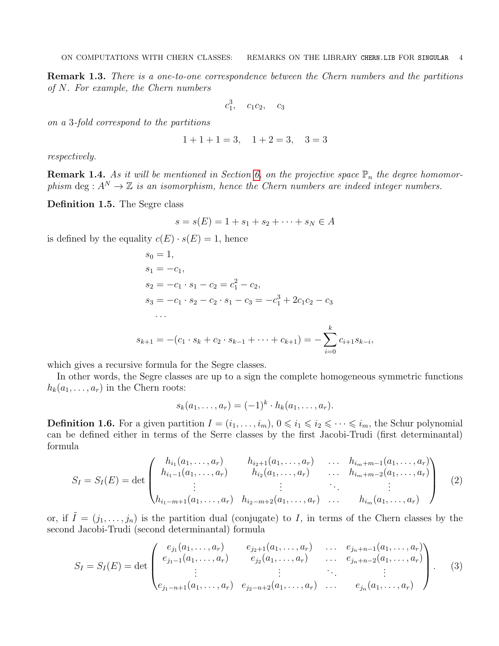Remark 1.3. There is a one-to-one correspondence between the Chern numbers and the partitions of N. For example, the Chern numbers

$$
c_1^3
$$
,  $c_1c_2$ ,  $c_3$ 

on a 3-fold correspond to the partitions

$$
1+1+1=3
$$
,  $1+2=3$ ,  $3=3$ 

respectively.

**Remark 1.4.** As it will be mentioned in Section [6,](#page-14-1) on the projective space  $\mathbb{P}_n$  the degree homomorphism deg :  $A^N \to \mathbb{Z}$  is an isomorphism, hence the Chern numbers are indeed integer numbers.

Definition 1.5. The Segre class

$$
s = s(E) = 1 + s_1 + s_2 + \dots + s_N \in A
$$

is defined by the equality  $c(E) \cdot s(E) = 1$ , hence

$$
s_0 = 1,
$$
  
\n
$$
s_1 = -c_1,
$$
  
\n
$$
s_2 = -c_1 \cdot s_1 - c_2 = c_1^2 - c_2,
$$
  
\n
$$
s_3 = -c_1 \cdot s_2 - c_2 \cdot s_1 - c_3 = -c_1^3 + 2c_1c_2 - c_3
$$
  
\n...  
\n
$$
s_{k+1} = -(c_1 \cdot s_k + c_2 \cdot s_{k-1} + \dots + c_{k+1}) = -\sum_{i=0}^{k} c_{i+1}s_{k-i},
$$

which gives a recursive formula for the Segre classes.

In other words, the Segre classes are up to a sign the complete homogeneous symmetric functions  $h_k(a_1, \ldots, a_r)$  in the Chern roots:

$$
s_k(a_1,\ldots,a_r)=(-1)^k\cdot h_k(a_1,\ldots,a_r).
$$

**Definition 1.6.** For a given partition  $I = (i_1, \ldots, i_m)$ ,  $0 \leq i_1 \leq i_2 \leq \cdots \leq i_m$ , the Schur polynomial can be defined either in terms of the Serre classes by the first Jacobi-Trudi (first determinantal) formula

$$
S_I = S_I(E) = \det \begin{pmatrix} h_{i_1}(a_1, \ldots, a_r) & h_{i_2+1}(a_1, \ldots, a_r) & \ldots & h_{i_m+m-1}(a_1, \ldots, a_r) \\ h_{i_1-1}(a_1, \ldots, a_r) & h_{i_2}(a_1, \ldots, a_r) & \ldots & h_{i_m+m-2}(a_1, \ldots, a_r) \\ \vdots & \vdots & \ddots & \vdots \\ h_{i_1-m+1}(a_1, \ldots, a_r) & h_{i_2-m+2}(a_1, \ldots, a_r) & \ldots & h_{i_m}(a_1, \ldots, a_r) \end{pmatrix}
$$
 (2)

or, if  $\tilde{I} = (j_1, \ldots, j_n)$  is the partition dual (conjugate) to I, in terms of the Chern classes by the second Jacobi-Trudi (second determinantal) formula

$$
S_I = S_I(E) = \det \begin{pmatrix} e_{j_1}(a_1, \ldots, a_r) & e_{j_2+1}(a_1, \ldots, a_r) & \ldots & e_{j_n+n-1}(a_1, \ldots, a_r) \\ e_{j_1-1}(a_1, \ldots, a_r) & e_{j_2}(a_1, \ldots, a_r) & \ldots & e_{j_n+n-2}(a_1, \ldots, a_r) \\ \vdots & \vdots & \ddots & \vdots \\ e_{j_1-n+1}(a_1, \ldots, a_r) & e_{j_2-n+2}(a_1, \ldots, a_r) & \ldots & e_{j_n}(a_1, \ldots, a_r) \end{pmatrix} . \tag{3}
$$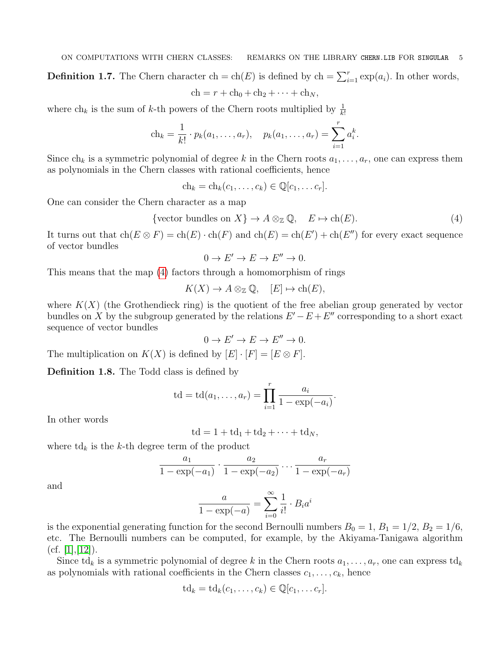**Definition 1.7.** The Chern character ch = ch(E) is defined by ch =  $\sum_{i=1}^{r} \exp(a_i)$ . In other words,

$$
ch = r + ch_0 + ch_2 + \cdots + ch_N,
$$

where  $\ch_k$  is the sum of k-th powers of the Chern roots multiplied by  $\frac{1}{k!}$ 

$$
ch_k = \frac{1}{k!} \cdot p_k(a_1, \dots, a_r), \quad p_k(a_1, \dots, a_r) = \sum_{i=1}^r a_i^k.
$$

Since  $ch_k$  is a symmetric polynomial of degree k in the Chern roots  $a_1, \ldots, a_r$ , one can express them as polynomials in the Chern classes with rational coefficients, hence

$$
ch_k = ch_k(c_1, \ldots, c_k) \in \mathbb{Q}[c_1, \ldots c_r].
$$

One can consider the Chern character as a map

<span id="page-4-0"></span>{vector bundles on 
$$
X
$$
}  $\rightarrow A \otimes_{\mathbb{Z}} \mathbb{Q}$ ,  $E \mapsto \text{ch}(E)$ . (4)

It turns out that  $ch(E \otimes F) = ch(E) \cdot ch(F)$  and  $ch(E) = ch(E') + ch(E'')$  for every exact sequence of vector bundles

$$
0 \to E' \to E \to E'' \to 0.
$$

This means that the map [\(4\)](#page-4-0) factors through a homomorphism of rings

$$
K(X) \to A \otimes_{\mathbb{Z}} \mathbb{Q}, \quad [E] \mapsto \text{ch}(E),
$$

where  $K(X)$  (the Grothendieck ring) is the quotient of the free abelian group generated by vector bundles on X by the subgroup generated by the relations  $E'-E+E''$  corresponding to a short exact sequence of vector bundles

$$
0 \to E' \to E \to E'' \to 0.
$$

The multiplication on  $K(X)$  is defined by  $[E] \cdot [F] = [E \otimes F]$ .

Definition 1.8. The Todd class is defined by

$$
td = td(a_1, ..., a_r) = \prod_{i=1}^r \frac{a_i}{1 - exp(-a_i)}.
$$

In other words

$$
td = 1 + td_1 + td_2 + \cdots + td_N,
$$

where  $\mathrm{td}_k$  is the k-th degree term of the product

$$
\frac{a_1}{1-\exp(-a_1)} \cdot \frac{a_2}{1-\exp(-a_2)} \cdots \frac{a_r}{1-\exp(-a_r)}
$$

and

$$
\frac{a}{1 - \exp(-a)} = \sum_{i=0}^{\infty} \frac{1}{i!} \cdot B_i a^i
$$

is the exponential generating function for the second Bernoulli numbers  $B_0 = 1$ ,  $B_1 = 1/2$ ,  $B_2 = 1/6$ , etc. The Bernoulli numbers can be computed, for example, by the Akiyama-Tanigawa algorithm  $(cf. [1], [12]).$  $(cf. [1], [12]).$  $(cf. [1], [12]).$  $(cf. [1], [12]).$  $(cf. [1], [12]).$ 

Since td<sub>k</sub> is a symmetric polynomial of degree k in the Chern roots  $a_1, \ldots, a_r$ , one can express td<sub>k</sub> as polynomials with rational coefficients in the Chern classes  $c_1, \ldots, c_k$ , hence

$$
\mathrm{td}_k=\mathrm{td}_k(c_1,\ldots,c_k)\in\mathbb{Q}[c_1,\ldots c_r].
$$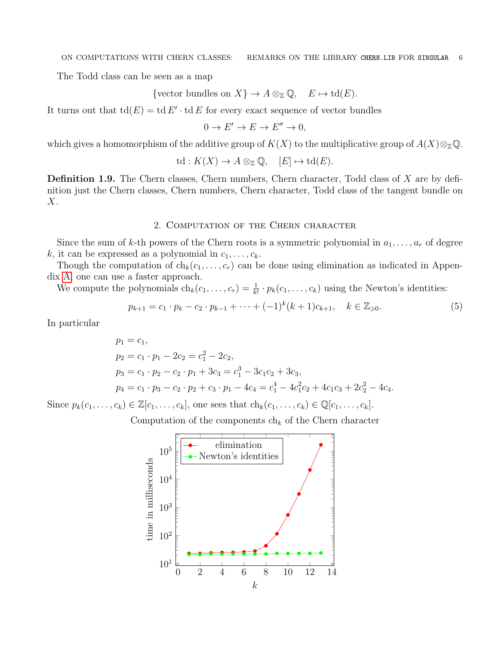The Todd class can be seen as a map

{vector bundles on  $X$ }  $\to A \otimes_{\mathbb{Z}} \mathbb{Q}$ ,  $E \mapsto \text{td}(E)$ .

It turns out that  $\mathrm{td}(E) = \mathrm{td} E' \cdot \mathrm{td} E$  for every exact sequence of vector bundles

$$
0 \to E' \to E \to E'' \to 0,
$$

which gives a homomorphism of the additive group of  $K(X)$  to the multiplicative group of  $A(X) \otimes_{\mathbb{Z}} \mathbb{Q}$ .

$$
\operatorname{td}: K(X) \to A \otimes_{\mathbb{Z}} \mathbb{Q}, \quad [E] \mapsto \operatorname{td}(E).
$$

Definition 1.9. The Chern classes, Chern numbers, Chern character, Todd class of X are by definition just the Chern classes, Chern numbers, Chern character, Todd class of the tangent bundle on X.

## 2. Computation of the Chern character

<span id="page-5-0"></span>Since the sum of k-th powers of the Chern roots is a symmetric polynomial in  $a_1, \ldots, a_r$  of degree k, it can be expressed as a polynomial in  $c_1, \ldots, c_k$ .

Though the computation of  $ch_k(c_1, \ldots, c_r)$  can be done using elimination as indicated in Appendix [A,](#page-15-0) one can use a faster approach.

We compute the polynomials  $ch_k(c_1, \ldots, c_r) = \frac{1}{k!} \cdot p_k(c_1, \ldots, c_k)$  using the Newton's identities:

<span id="page-5-1"></span>
$$
p_{k+1} = c_1 \cdot p_k - c_2 \cdot p_{k-1} + \dots + (-1)^k (k+1) c_{k+1}, \quad k \in \mathbb{Z}_{\geqslant 0}.
$$
 (5)

In particular

$$
p_1 = c_1,
$$
  
\n
$$
p_2 = c_1 \cdot p_1 - 2c_2 = c_1^2 - 2c_2,
$$
  
\n
$$
p_3 = c_1 \cdot p_2 - c_2 \cdot p_1 + 3c_3 = c_1^3 - 3c_1c_2 + 3c_3,
$$
  
\n
$$
p_4 = c_1 \cdot p_3 - c_2 \cdot p_2 + c_3 \cdot p_1 - 4c_4 = c_1^4 - 4c_1^2c_2 + 4c_1c_3 + 2c_2^2 - 4c_4.
$$

Since  $p_k(c_1,\ldots,c_k) \in \mathbb{Z}[c_1,\ldots,c_k]$ , one sees that  $ch_k(c_1,\ldots,c_k) \in \mathbb{Q}[c_1,\ldots,c_k]$ .

Computation of the components  $ch_k$  of the Chern character

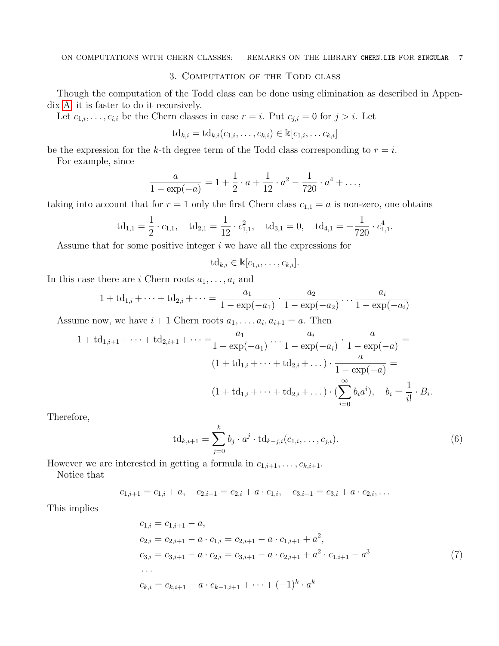# 3. Computation of the Todd class

<span id="page-6-0"></span>Though the computation of the Todd class can be done using elimination as described in Appendix [A,](#page-15-0) it is faster to do it recursively.

Let  $c_{1,i},\ldots,c_{i,i}$  be the Chern classes in case  $r=i$ . Put  $c_{j,i}=0$  for  $j>i$ . Let

$$
\mathrm{td}_{k,i} = \mathrm{td}_{k,i}(c_{1,i},\ldots,c_{k,i}) \in \mathbb{k}[c_{1,i},\ldots c_{k,i}]
$$

be the expression for the k-th degree term of the Todd class corresponding to  $r = i$ .

For example, since

$$
\frac{a}{1 - \exp(-a)} = 1 + \frac{1}{2} \cdot a + \frac{1}{12} \cdot a^2 - \frac{1}{720} \cdot a^4 + \dots,
$$

taking into account that for  $r = 1$  only the first Chern class  $c_{1,1} = a$  is non-zero, one obtains

$$
td_{1,1}=\frac{1}{2}\cdot c_{1,1},\quad td_{2,1}=\frac{1}{12}\cdot c_{1,1}^2,\quad td_{3,1}=0,\quad td_{4,1}=-\frac{1}{720}\cdot c_{1,1}^4.
$$

Assume that for some positive integer  $i$  we have all the expressions for

$$
\mathrm{td}_{k,i} \in \mathbb{k}[c_{1,i},\ldots,c_{k,i}].
$$

In this case there are i Chern roots  $a_1, \ldots, a_i$  and

$$
1 + td_{1,i} + \dots + td_{2,i} + \dots = \frac{a_1}{1 - exp(-a_1)} \cdot \frac{a_2}{1 - exp(-a_2)} \cdot \dots \cdot \frac{a_i}{1 - exp(-a_i)}
$$

Assume now, we have  $i+1$  Chern roots  $a_1, \ldots, a_i, a_{i+1} = a$ . Then

$$
1 + td_{1,i+1} + \dots + td_{2,i+1} + \dots = \frac{a_1}{1 - exp(-a_1)} \dots \frac{a_i}{1 - exp(-a_i)} \cdot \frac{a}{1 - exp(-a)} =
$$
  

$$
(1 + td_{1,i} + \dots + td_{2,i} + \dots) \cdot \frac{a}{1 - exp(-a)} =
$$
  

$$
(1 + td_{1,i} + \dots + td_{2,i} + \dots) \cdot (\sum_{i=0}^{\infty} b_i a^i), \quad b_i = \frac{1}{i!} \cdot B_i.
$$

Therefore,

<span id="page-6-1"></span>
$$
\mathrm{td}_{k,i+1} = \sum_{j=0}^{k} b_j \cdot a^j \cdot \mathrm{td}_{k-j,i}(c_{1,i},\ldots,c_{j,i}).
$$
 (6)

However we are interested in getting a formula in  $c_{1,i+1}, \ldots, c_{k,i+1}$ .

<span id="page-6-2"></span>k

Notice that

$$
c_{1,i+1} = c_{1,i} + a, \quad c_{2,i+1} = c_{2,i} + a \cdot c_{1,i}, \quad c_{3,i+1} = c_{3,i} + a \cdot c_{2,i}, \dots
$$

This implies

$$
c_{1,i} = c_{1,i+1} - a,
$$
  
\n
$$
c_{2,i} = c_{2,i+1} - a \cdot c_{1,i} = c_{2,i+1} - a \cdot c_{1,i+1} + a^2,
$$
  
\n
$$
c_{3,i} = c_{3,i+1} - a \cdot c_{2,i} = c_{3,i+1} - a \cdot c_{2,i+1} + a^2 \cdot c_{1,i+1} - a^3
$$
  
\n...  
\n
$$
c_{k,i} = c_{k,i+1} - a \cdot c_{k-1,i+1} + \dots + (-1)^k \cdot a^k
$$
\n(7)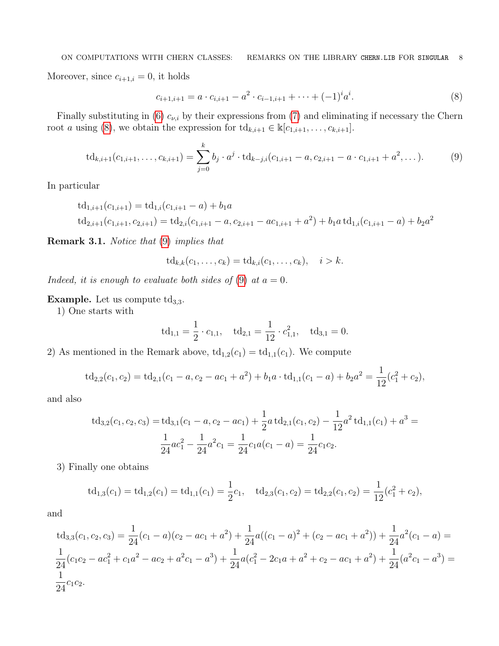Moreover, since  $c_{i+1,i} = 0$ , it holds

<span id="page-7-1"></span><span id="page-7-0"></span>
$$
c_{i+1,i+1} = a \cdot c_{i,i+1} - a^2 \cdot c_{i-1,i+1} + \dots + (-1)^i a^i.
$$
\n(8)

Finally substituting in [\(6\)](#page-6-1)  $c_{\nu,i}$  by their expressions from [\(7\)](#page-6-2) and eliminating if necessary the Chern root a using [\(8\)](#page-7-0), we obtain the expression for  $\mathrm{td}_{k,i+1} \in \mathbb{k}[c_{1,i+1}, \ldots, c_{k,i+1}].$ 

$$
\mathrm{td}_{k,i+1}(c_{1,i+1},\ldots,c_{k,i+1})=\sum_{j=0}^k b_j \cdot a^j \cdot \mathrm{td}_{k-j,i}(c_{1,i+1}-a,c_{2,i+1}-a\cdot c_{1,i+1}+a^2,\ldots). \hspace{1cm} (9)
$$

In particular

$$
td_{1,i+1}(c_{1,i+1}) = td_{1,i}(c_{1,i+1} - a) + b_1a
$$
  

$$
td_{2,i+1}(c_{1,i+1}, c_{2,i+1}) = td_{2,i}(c_{1,i+1} - a, c_{2,i+1} - ac_{1,i+1} + a^2) + b_1a \cdot td_{1,i}(c_{1,i+1} - a) + b_2a^2
$$

Remark 3.1. Notice that [\(9\)](#page-7-1) implies that

$$
\mathrm{td}_{k,k}(c_1,\ldots,c_k)=\mathrm{td}_{k,i}(c_1,\ldots,c_k),\quad i>k.
$$

Indeed, it is enough to evaluate both sides of [\(9\)](#page-7-1) at  $a = 0$ .

Example. Let us compute  $\mathrm{td}_{3,3}$ .

1) One starts with

$$
td_{1,1} = \frac{1}{2} \cdot c_{1,1}, \quad td_{2,1} = \frac{1}{12} \cdot c_{1,1}^2, \quad td_{3,1} = 0.
$$

2) As mentioned in the Remark above,  $td_{1,2}(c_1) = td_{1,1}(c_1)$ . We compute

$$
td_{2,2}(c_1, c_2) = td_{2,1}(c_1 - a, c_2 - ac_1 + a^2) + b_1a \cdot td_{1,1}(c_1 - a) + b_2a^2 = \frac{1}{12}(c_1^2 + c_2),
$$

and also

$$
td_{3,2}(c_1, c_2, c_3) = td_{3,1}(c_1 - a, c_2 - ac_1) + \frac{1}{2}a \cdot td_{2,1}(c_1, c_2) - \frac{1}{12}a^2 \cdot td_{1,1}(c_1) + a^3 = \frac{1}{24}ac_1^2 - \frac{1}{24}a^2c_1 = \frac{1}{24}c_1a(c_1 - a) = \frac{1}{24}c_1c_2.
$$

3) Finally one obtains

$$
td_{1,3}(c_1) = td_{1,2}(c_1) = td_{1,1}(c_1) = \frac{1}{2}c_1, \quad td_{2,3}(c_1, c_2) = td_{2,2}(c_1, c_2) = \frac{1}{12}(c_1^2 + c_2),
$$

and

td<sub>3,3</sub>(c<sub>1</sub>, c<sub>2</sub>, c<sub>3</sub>) = 
$$
\frac{1}{24}
$$
(c<sub>1</sub> - a)(c<sub>2</sub> - ac<sub>1</sub> + a<sup>2</sup>) +  $\frac{1}{24}$ a((c<sub>1</sub> - a)<sup>2</sup> + (c<sub>2</sub> - ac<sub>1</sub> + a<sup>2</sup>)) +  $\frac{1}{24}$ a<sup>2</sup>(c<sub>1</sub> - a) =  $\frac{1}{24}$ (c<sub>1</sub>c<sub>2</sub> - ac<sub>1</sub><sup>2</sup> + c<sub>1</sub>a<sup>2</sup> - ac<sub>2</sub> + a<sup>2</sup>c<sub>1</sub> - a<sup>3</sup>) +  $\frac{1}{24}$ a(c<sub>1</sub><sup>2</sup> - 2c<sub>1</sub>a + a<sup>2</sup> + c<sub>2</sub> - ac<sub>1</sub> + a<sup>2</sup>) +  $\frac{1}{24}$ (a<sup>2</sup>c<sub>1</sub> - a<sup>3</sup>) =  $\frac{1}{24}$ c<sub>1</sub>c<sub>2</sub>.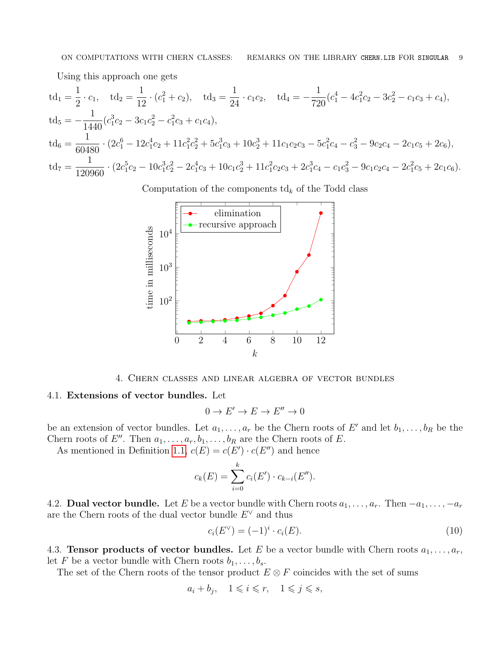Using this approach one gets

$$
td_1 = \frac{1}{2} \cdot c_1, \quad td_2 = \frac{1}{12} \cdot (c_1^2 + c_2), \quad td_3 = \frac{1}{24} \cdot c_1c_2, \quad td_4 = -\frac{1}{720}(c_1^4 - 4c_1^2c_2 - 3c_2^2 - c_1c_3 + c_4),
$$
  
\n
$$
td_5 = -\frac{1}{1440}(c_1^3c_2 - 3c_1c_2^2 - c_1^2c_3 + c_1c_4),
$$
  
\n
$$
td_6 = \frac{1}{60480} \cdot (2c_1^6 - 12c_1^4c_2 + 11c_1^2c_2^2 + 5c_1^3c_3 + 10c_2^3 + 11c_1c_2c_3 - 5c_1^2c_4 - c_3^2 - 9c_2c_4 - 2c_1c_5 + 2c_6),
$$
  
\n
$$
td_7 = \frac{1}{120960} \cdot (2c_1^5c_2 - 10c_1^3c_2^2 - 2c_1^4c_3 + 10c_1c_2^3 + 11c_1^2c_2c_3 + 2c_1^3c_4 - c_1c_3^2 - 9c_1c_2c_4 - 2c_1^2c_5 + 2c_1c_6).
$$

Computation of the components  $\mathrm{td}_k$  of the Todd class



4. Chern classes and linear algebra of vector bundles

## <span id="page-8-1"></span><span id="page-8-0"></span>4.1. Extensions of vector bundles. Let

$$
0 \to E' \to E \to E'' \to 0
$$

be an extension of vector bundles. Let  $a_1, \ldots, a_r$  be the Chern roots of E' and let  $b_1, \ldots, b_R$  be the Chern roots of E''. Then  $a_1, \ldots, a_r, b_1, \ldots, b_R$  are the Chern roots of E.

As mentioned in Definition [1.1,](#page-2-0)  $c(E) = c(E') \cdot c(E'')$  and hence

$$
c_k(E) = \sum_{i=0}^{k} c_i(E') \cdot c_{k-i}(E'').
$$

<span id="page-8-2"></span>4.2. **Dual vector bundle.** Let E be a vector bundle with Chern roots  $a_1, \ldots, a_r$ . Then  $-a_1, \ldots, -a_r$ are the Chern roots of the dual vector bundle  $E^{\vee}$  and thus

<span id="page-8-4"></span>
$$
c_i(E^{\vee}) = (-1)^i \cdot c_i(E). \tag{10}
$$

<span id="page-8-3"></span>4.3. Tensor products of vector bundles. Let E be a vector bundle with Chern roots  $a_1, \ldots, a_r$ , let F be a vector bundle with Chern roots  $b_1, \ldots, b_s$ .

The set of the Chern roots of the tensor product  $E \otimes F$  coincides with the set of sums

$$
a_i + b_j, \quad 1 \leqslant i \leqslant r, \quad 1 \leqslant j \leqslant s,
$$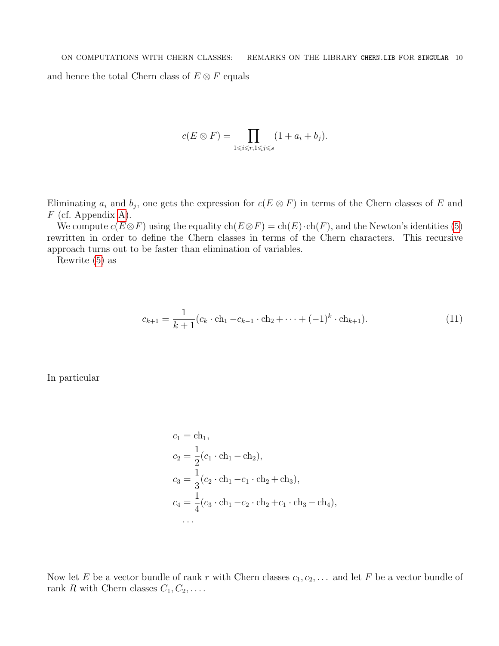$$
c(E \otimes F) = \prod_{1 \leq i \leq r, 1 \leq j \leq s} (1 + a_i + b_j).
$$

Eliminating  $a_i$  and  $b_j$ , one gets the expression for  $c(E \otimes F)$  in terms of the Chern classes of E and  $F$  (cf. Appendix [A\)](#page-15-0).

We compute  $c(E \otimes F)$  using the equality  $ch(E \otimes F) = ch(E) \cdot ch(F)$ , and the Newton's identities [\(5\)](#page-5-1) rewritten in order to define the Chern classes in terms of the Chern characters. This recursive approach turns out to be faster than elimination of variables.

Rewrite [\(5\)](#page-5-1) as

$$
c_{k+1} = \frac{1}{k+1} (c_k \cdot \text{ch}_1 - c_{k-1} \cdot \text{ch}_2 + \dots + (-1)^k \cdot \text{ch}_{k+1}).
$$
\n(11)

In particular

$$
c_1 = \text{ch}_1,
$$
  
\n
$$
c_2 = \frac{1}{2}(c_1 \cdot \text{ch}_1 - \text{ch}_2),
$$
  
\n
$$
c_3 = \frac{1}{3}(c_2 \cdot \text{ch}_1 - c_1 \cdot \text{ch}_2 + \text{ch}_3),
$$
  
\n
$$
c_4 = \frac{1}{4}(c_3 \cdot \text{ch}_1 - c_2 \cdot \text{ch}_2 + c_1 \cdot \text{ch}_3 - \text{ch}_4),
$$
  
\n...

Now let E be a vector bundle of rank r with Chern classes  $c_1, c_2, \ldots$  and let F be a vector bundle of rank R with Chern classes  $C_1, C_2, \ldots$ .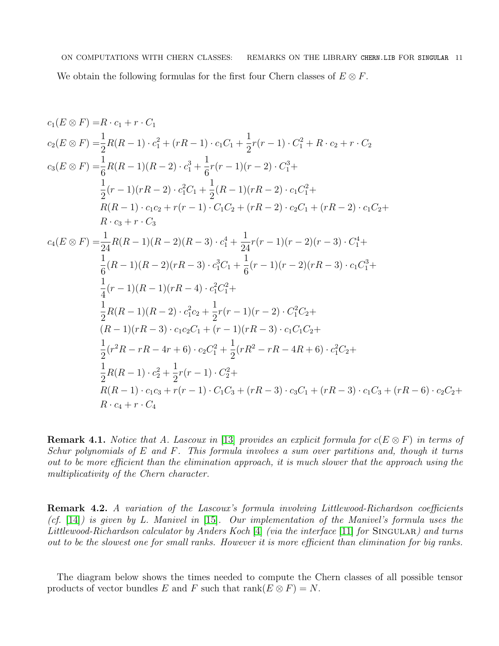ON COMPUTATIONS WITH CHERN CLASSES: REMARKS ON THE LIBRARY CHERN.LIB FOR SINGULAR 11 We obtain the following formulas for the first four Chern classes of  $E \otimes F$ .

$$
c_{1}(E \otimes F) = R \cdot c_{1} + r \cdot C_{1}
$$
  
\n
$$
c_{2}(E \otimes F) = \frac{1}{2}R(R-1) \cdot c_{1}^{2} + (rR-1) \cdot c_{1}C_{1} + \frac{1}{2}r(r-1) \cdot C_{1}^{2} + R \cdot c_{2} + r \cdot C_{2}
$$
  
\n
$$
c_{3}(E \otimes F) = \frac{1}{6}R(R-1)(R-2) \cdot c_{1}^{3} + \frac{1}{6}r(r-1)(r-2) \cdot C_{1}^{3} +
$$
  
\n
$$
\frac{1}{2}(r-1)(rR-2) \cdot c_{1}^{2}C_{1} + \frac{1}{2}(R-1)(rR-2) \cdot c_{1}C_{1}^{2} +
$$
  
\n
$$
R(R-1) \cdot c_{1}c_{2} + r(r-1) \cdot C_{1}C_{2} + (rR-2) \cdot c_{2}C_{1} + (rR-2) \cdot c_{1}C_{2} +
$$
  
\n
$$
R \cdot c_{3} + r \cdot C_{3}
$$
  
\n
$$
c_{4}(E \otimes F) = \frac{1}{24}R(R-1)(R-2)(R-3) \cdot c_{1}^{4} + \frac{1}{24}r(r-1)(r-2)(r-3) \cdot C_{1}^{4} +
$$
  
\n
$$
\frac{1}{6}(R-1)(R-2)(rR-3) \cdot c_{1}^{3}C_{1} + \frac{1}{6}(r-1)(r-2)(rR-3) \cdot c_{1}C_{1}^{3} +
$$
  
\n
$$
\frac{1}{4}(r-1)(R-1)(rR-4) \cdot c_{1}^{2}C_{1}^{2} +
$$
  
\n
$$
\frac{1}{2}R(R-1)(R-2) \cdot c_{1}^{2}c_{2} + \frac{1}{2}r(r-1)(r-2) \cdot C_{1}^{2}C_{2} +
$$
  
\n
$$
\frac{1}{2}(R-1)(rR-3) \cdot c_{1}c_{2}C_{1} + (r-1)(rR-3) \cdot c_{1}C_{2}C_{1} +
$$
  
\n
$$
\frac{1}{2}(r^{2}R-rR-4r+6) \cdot c_{2
$$

**Remark 4.1.** Notice that A. Lascoux in [\[13\]](#page-17-4) provides an explicit formula for  $c(E \otimes F)$  in terms of Schur polynomials of E and F. This formula involves a sum over partitions and, though it turns out to be more efficient than the elimination approach, it is much slower that the approach using the multiplicativity of the Chern character.

Remark 4.2. A variation of the Lascoux's formula involving Littlewood-Richardson coefficients (cf. [\[14\]](#page-17-5)) is given by L. Manivel in [\[15\]](#page-17-6). Our implementation of the Manivel's formula uses the Littlewood-Richardson calculator by Anders Koch [\[4\]](#page-16-8) (via the interface [\[11\]](#page-17-7) for SINGULAR) and turns out to be the slowest one for small ranks. However it is more efficient than elimination for big ranks.

The diagram below shows the times needed to compute the Chern classes of all possible tensor products of vector bundles E and F such that  $rank(E \otimes F) = N$ .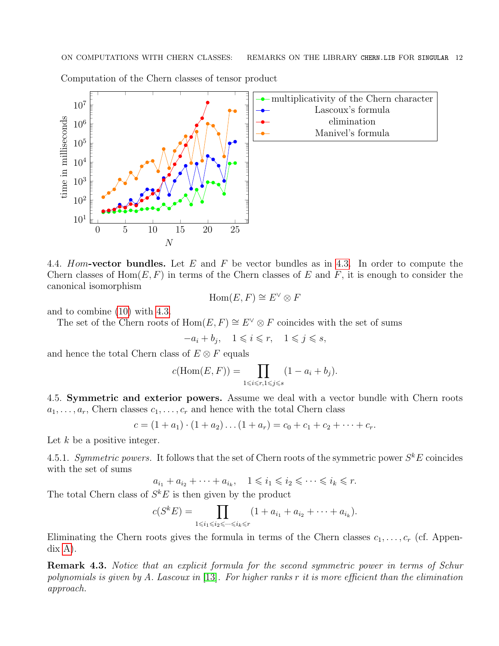

Computation of the Chern classes of tensor product

<span id="page-11-0"></span>4.4. Hom-vector bundles. Let E and F be vector bundles as in [4.3.](#page-8-3) In order to compute the Chern classes of  $Hom(E, F)$  in terms of the Chern classes of E and F, it is enough to consider the canonical isomorphism

$$
\operatorname{Hom}(E, F) \cong E^{\vee} \otimes F
$$

and to combine [\(10\)](#page-8-4) with [4.3.](#page-8-3)

The set of the Chern roots of  $\text{Hom}(E, F) \cong E^{\vee} \otimes F$  coincides with the set of sums

 $-a_i + b_j$ ,  $1 \leqslant i \leqslant r$ ,  $1 \leqslant j \leqslant s$ ,

and hence the total Chern class of  $E \otimes F$  equals

$$
c(\text{Hom}(E, F)) = \prod_{1 \le i \le r, 1 \le j \le s} (1 - a_i + b_j).
$$

<span id="page-11-1"></span>4.5. Symmetric and exterior powers. Assume we deal with a vector bundle with Chern roots  $a_1, \ldots, a_r$ , Chern classes  $c_1, \ldots, c_r$  and hence with the total Chern class

$$
c = (1 + a_1) \cdot (1 + a_2) \dots (1 + a_r) = c_0 + c_1 + c_2 + \dots + c_r.
$$

Let  $k$  be a positive integer.

4.5.1. Symmetric powers. It follows that the set of Chern roots of the symmetric power  $S^k E$  coincides with the set of sums

$$
a_{i_1} + a_{i_2} + \dots + a_{i_k}, \quad 1 \leqslant i_1 \leqslant i_2 \leqslant \dots \leqslant i_k \leqslant r.
$$

The total Chern class of  $S^k E$  is then given by the product

$$
c(S^k E) = \prod_{1 \le i_1 \le i_2 \le \dots \le i_k \le r} (1 + a_{i_1} + a_{i_2} + \dots + a_{i_k}).
$$

Eliminating the Chern roots gives the formula in terms of the Chern classes  $c_1, \ldots, c_r$  (cf. Appendix [A\)](#page-15-0).

Remark 4.3. Notice that an explicit formula for the second symmetric power in terms of Schur polynomials is given by A. Lascoux in [\[13\]](#page-17-4). For higher ranks  $r$  it is more efficient than the elimination approach.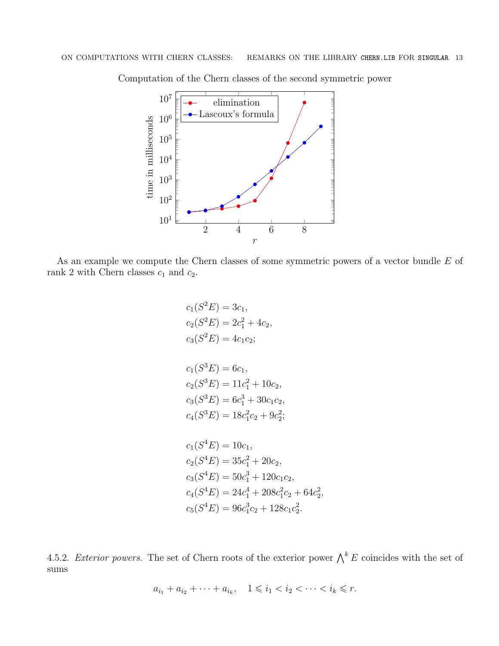

Computation of the Chern classes of the second symmetric power

As an example we compute the Chern classes of some symmetric powers of a vector bundle E of rank 2 with Chern classes  $c_1$  and  $c_2$ .

$$
c_1(S^2E) = 3c_1,
$$
  
\n
$$
c_2(S^2E) = 2c_1^2 + 4c_2,
$$
  
\n
$$
c_3(S^2E) = 4c_1c_2;
$$
  
\n
$$
c_1(S^3E) = 6c_1,
$$
  
\n
$$
c_2(S^3E) = 11c_1^2 + 10c_2,
$$
  
\n
$$
c_3(S^3E) = 6c_1^3 + 30c_1c_2,
$$
  
\n
$$
c_4(S^3E) = 18c_1^2c_2 + 9c_2^2;
$$
  
\n
$$
c_1(S^4E) = 10c_1,
$$
  
\n
$$
c_2(S^4E) = 35c_1^2 + 20c_2,
$$
  
\n
$$
c_3(S^4E) = 50c_1^3 + 120c_1c_2,
$$
  
\n
$$
c_4(S^4E) = 24c_1^4 + 208c_1^2c_2 + 64c_2^2,
$$
  
\n
$$
c_5(S^4E) = 96c_1^3c_2 + 128c_1c_2^2.
$$

4.5.2. Exterior powers. The set of Chern roots of the exterior power  $\bigwedge^k E$  coincides with the set of sums

 $a_{i_1} + a_{i_2} + \cdots + a_{i_k}, \quad 1 \leq i_1 < i_2 < \cdots < i_k \leq r.$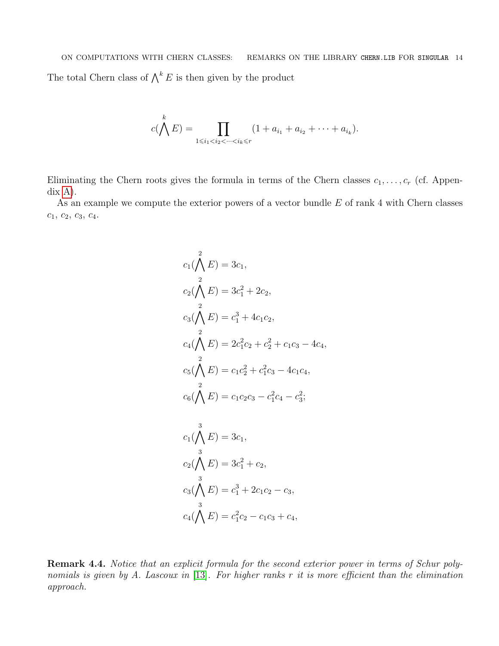ON COMPUTATIONS WITH CHERN CLASSES: REMARKS ON THE LIBRARY CHERN.LIB FOR SINGULAR 14 The total Chern class of  $\bigwedge^k E$  is then given by the product

$$
c(\bigwedge^k E) = \prod_{1 \le i_1 < i_2 < \dots < i_k \le r} (1 + a_{i_1} + a_{i_2} + \dots + a_{i_k}).
$$

Eliminating the Chern roots gives the formula in terms of the Chern classes  $c_1, \ldots, c_r$  (cf. Appendix [A\)](#page-15-0).

As an example we compute the exterior powers of a vector bundle  $E$  of rank 4 with Chern classes  $c_1, c_2, c_3, c_4.$ 

$$
c_1(\bigwedge^2 E) = 3c_1,
$$
  
\n
$$
c_2(\bigwedge^2 E) = 3c_1^2 + 2c_2,
$$
  
\n
$$
c_3(\bigwedge^2 E) = c_1^3 + 4c_1c_2,
$$
  
\n
$$
c_4(\bigwedge^2 E) = 2c_1^2c_2 + c_2^2 + c_1c_3 - 4c_4,
$$
  
\n
$$
c_5(\bigwedge^2 E) = c_1c_2^2 + c_1^2c_3 - 4c_1c_4,
$$
  
\n
$$
c_6(\bigwedge^2 E) = c_1c_2c_3 - c_1^2c_4 - c_3^2;
$$
  
\n
$$
c_1(\bigwedge^3 E) = 3c_1,
$$
  
\n
$$
c_2(\bigwedge^3 E) = 3c_1^2 + c_2,
$$
  
\n
$$
c_3(\bigwedge^3 E) = c_1^3 + 2c_1c_2 - c_3,
$$
  
\n
$$
c_4(\bigwedge^3 E) = c_1^2c_2 - c_1c_3 + c_4,
$$

Remark 4.4. Notice that an explicit formula for the second exterior power in terms of Schur poly-nomials is given by A. Lascoux in [\[13\]](#page-17-4). For higher ranks r it is more efficient than the elimination approach.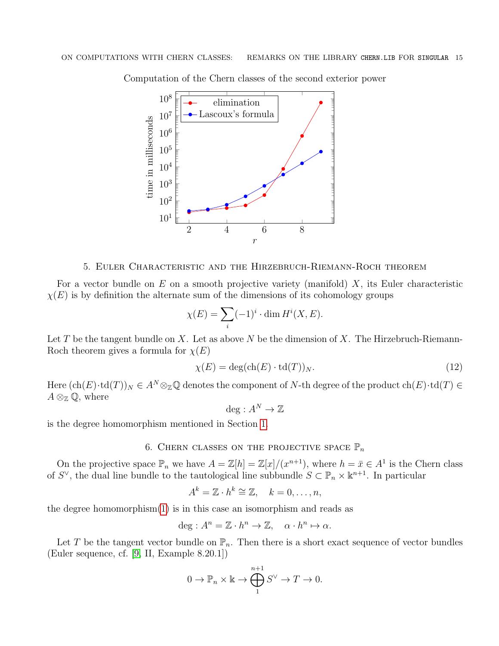2 4 6 8  $10^{1}$  $10^{2}$ 10<sup>3</sup>  $10^{4}$ 10<sup>5</sup> 10<sup>6</sup> 10<sup>7</sup>  $10^8\,$ r time in milliseconds elimination Lascoux's formula

Computation of the Chern classes of the second exterior power

#### 5. Euler Characteristic and the Hirzebruch-Riemann-Roch theorem

<span id="page-14-0"></span>For a vector bundle on E on a smooth projective variety (manifold)  $X$ , its Euler characteristic  $\chi(E)$  is by definition the alternate sum of the dimensions of its cohomology groups

$$
\chi(E) = \sum_{i} (-1)^{i} \cdot \dim H^{i}(X, E).
$$

Let T be the tangent bundle on X. Let as above N be the dimension of X. The Hirzebruch-Riemann-Roch theorem gives a formula for  $\chi(E)$ 

$$
\chi(E) = \deg(\text{ch}(E) \cdot \text{td}(T))_N. \tag{12}
$$

Here  $(\text{ch}(E)\cdot \text{td}(T))_N \in A^N \otimes_{\mathbb{Z}} \mathbb{Q}$  denotes the component of N-th degree of the product  $\text{ch}(E)\cdot \text{td}(T) \in$  $A \otimes_{\mathbb{Z}} \mathbb{Q}$ , where

<span id="page-14-2"></span>deg :  $A^N \to \mathbb{Z}$ 

is the degree homomorphism mentioned in Section [1.](#page-1-0)

## 6. CHERN CLASSES ON THE PROJECTIVE SPACE  $\mathbb{P}_n$

<span id="page-14-1"></span>On the projective space  $\mathbb{P}_n$  we have  $A = \mathbb{Z}[h] = \mathbb{Z}[x]/(x^{n+1})$ , where  $h = \bar{x} \in A^1$  is the Chern class of S<sup> $\vee$ </sup>, the dual line bundle to the tautological line subbundle  $S \subset \mathbb{P}_n \times \mathbb{R}^{n+1}$ . In particular

$$
A^k = \mathbb{Z} \cdot h^k \cong \mathbb{Z}, \quad k = 0, \dots, n,
$$

the degree homomorphism $(1)$  is in this case an isomorphism and reads as

$$
\deg: A^n = \mathbb{Z} \cdot h^n \to \mathbb{Z}, \quad \alpha \cdot h^n \mapsto \alpha.
$$

Let T be the tangent vector bundle on  $\mathbb{P}_n$ . Then there is a short exact sequence of vector bundles (Euler sequence, cf. [\[9,](#page-16-9) II, Example 8.20.1])

$$
0 \to \mathbb{P}_n \times \mathbb{k} \to \bigoplus_1^{n+1} S^{\vee} \to T \to 0.
$$

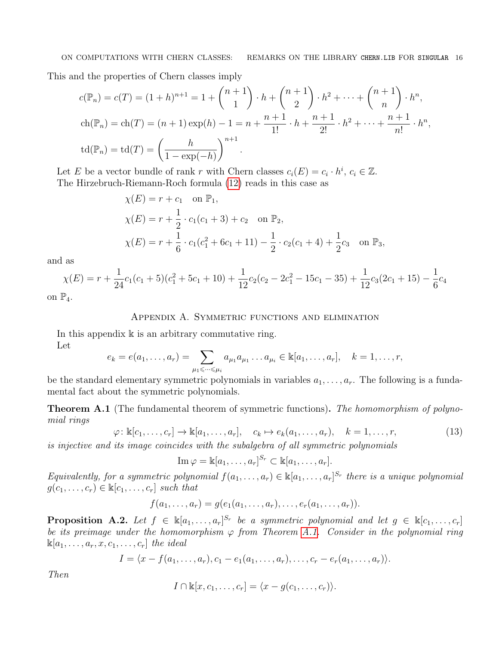This and the properties of Chern classes imply

$$
c(\mathbb{P}_n) = c(T) = (1+h)^{n+1} = 1 + {n+1 \choose 1} \cdot h + {n+1 \choose 2} \cdot h^2 + \dots + {n+1 \choose n} \cdot h^n,
$$
  
\n
$$
ch(\mathbb{P}_n) = ch(T) = (n+1) \exp(h) - 1 = n + \frac{n+1}{1!} \cdot h + \frac{n+1}{2!} \cdot h^2 + \dots + \frac{n+1}{n!} \cdot h^n,
$$
  
\n
$$
td(\mathbb{P}_n) = td(T) = \left(\frac{h}{1 - \exp(-h)}\right)^{n+1}.
$$

Let E be a vector bundle of rank r with Chern classes  $c_i(E) = c_i \cdot h^i$ ,  $c_i \in \mathbb{Z}$ . The Hirzebruch-Riemann-Roch formula [\(12\)](#page-14-2) reads in this case as

$$
\chi(E) = r + c_1 \quad \text{on } \mathbb{P}_1,
$$
  
\n
$$
\chi(E) = r + \frac{1}{2} \cdot c_1(c_1 + 3) + c_2 \quad \text{on } \mathbb{P}_2,
$$
  
\n
$$
\chi(E) = r + \frac{1}{6} \cdot c_1(c_1^2 + 6c_1 + 11) - \frac{1}{2} \cdot c_2(c_1 + 4) + \frac{1}{2}c_3 \quad \text{on } \mathbb{P}_3,
$$

and as

$$
\chi(E) = r + \frac{1}{24}c_1(c_1 + 5)(c_1^2 + 5c_1 + 10) + \frac{1}{12}c_2(c_2 - 2c_1^2 - 15c_1 - 35) + \frac{1}{12}c_3(2c_1 + 15) - \frac{1}{6}c_4
$$

<span id="page-15-0"></span>on  $\mathbb{P}_4$ .

### Appendix A. Symmetric functions and elimination

In this appendix  $\mathbb k$  is an arbitrary commutative ring.

Let

$$
e_k = e(a_1, ..., a_r) = \sum_{\mu_1 \leqslant ... \leqslant \mu_i} a_{\mu_1} a_{\mu_1} ... a_{\mu_i} \in \mathbb{k}[a_1, ..., a_r], \quad k = 1, ..., r,
$$

be the standard elementary symmetric polynomials in variables  $a_1, \ldots, a_r$ . The following is a fundamental fact about the symmetric polynomials.

<span id="page-15-1"></span>Theorem A.1 (The fundamental theorem of symmetric functions). The homomorphism of polynomial rings

 $\varphi: \mathbb{k}[c_1, \ldots, c_r] \to \mathbb{k}[a_1, \ldots, a_r], \quad c_k \mapsto e_k(a_1, \ldots, a_r), \quad k = 1, \ldots, r,$  (13)

is injective and its image coincides with the subalgebra of all symmetric polynomials

 $\operatorname{Im}\varphi=\Bbbk[a_1,\ldots,a_r]^{S_r}\subset\Bbbk[a_1,\ldots,a_r].$ 

Equivalently, for a symmetric polynomial  $f(a_1, \ldots, a_r) \in \mathbb{K}[a_1, \ldots, a_r]^{S_r}$  there is a unique polynomial  $g(c_1, \ldots, c_r) \in \mathbb{K}[c_1, \ldots, c_r]$  such that

$$
f(a_1,\ldots,a_r)=g(e_1(a_1,\ldots,a_r),\ldots,e_r(a_1,\ldots,a_r)).
$$

<span id="page-15-2"></span>**Proposition A.2.** Let  $f \in \mathbb{k}[a_1,\ldots,a_r]^{S_r}$  be a symmetric polynomial and let  $g \in \mathbb{k}[c_1,\ldots,c_r]$ be its preimage under the homomorphism  $\varphi$  from Theorem [A.1.](#page-15-1) Consider in the polynomial ring  $\mathbb{K}[a_1,\ldots,a_r,x,c_1,\ldots,c_r]$  the ideal

$$
I = \langle x - f(a_1, \ldots, a_r), c_1 - e_1(a_1, \ldots, a_r), \ldots, c_r - e_r(a_1, \ldots, a_r) \rangle.
$$

Then

$$
I \cap \mathbb{k}[x, c_1, \ldots, c_r] = \langle x - g(c_1, \ldots, c_r) \rangle.
$$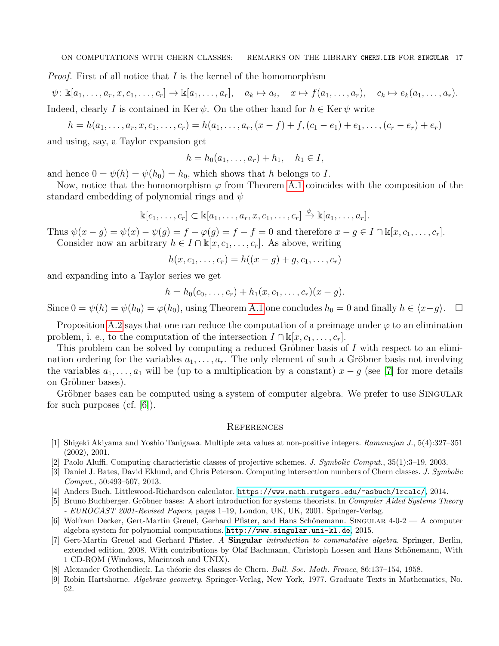*Proof.* First of all notice that  $I$  is the kernel of the homomorphism

 $\psi: \mathbb{k}[a_1,\ldots,a_r,x,c_1,\ldots,c_r] \to \mathbb{k}[a_1,\ldots,a_r], \quad a_k \mapsto a_i, \quad x \mapsto f(a_1,\ldots,a_r), \quad c_k \mapsto e_k(a_1,\ldots,a_r).$ Indeed, clearly I is contained in Ker  $\psi$ . On the other hand for  $h \in \text{Ker } \psi$  write

$$
h = h(a_1, \ldots, a_r, x, c_1, \ldots, c_r) = h(a_1, \ldots, a_r, (x - f) + f, (c_1 - e_1) + e_1, \ldots, (c_r - e_r) + e_r)
$$

and using, say, a Taylor expansion get

$$
h = h_0(a_1, \dots, a_r) + h_1, \quad h_1 \in I,
$$

and hence  $0 = \psi(h) = \psi(h_0) = h_0$ , which shows that h belongs to I.

Now, notice that the homomorphism  $\varphi$  from Theorem [A.1](#page-15-1) coincides with the composition of the standard embedding of polynomial rings and  $\psi$ 

$$
\mathbb{k}[c_1,\ldots,c_r] \subset \mathbb{k}[a_1,\ldots,a_r,x,c_1,\ldots,c_r] \stackrel{\psi}{\to} \mathbb{k}[a_1,\ldots,a_r].
$$

Thus  $\psi(x - g) = \psi(x) - \psi(g) = f - \varphi(g) = f - f = 0$  and therefore  $x - g \in I \cap \mathbb{K}[x, c_1, \ldots, c_r]$ . Consider now an arbitrary  $h \in I \cap \mathbb{k}[x,c_1,\ldots,c_r]$ . As above, writing

$$
h(x, c_1, \ldots, c_r) = h((x - g) + g, c_1, \ldots, c_r)
$$

and expanding into a Taylor series we get

$$
h = h_0(c_0, \ldots, c_r) + h_1(x, c_1, \ldots, c_r)(x - g).
$$

Since  $0 = \psi(h) = \psi(h_0) = \varphi(h_0)$ , using Theorem [A.1](#page-15-1) one concludes  $h_0 = 0$  and finally  $h \in \langle x-g \rangle$ .  $\Box$ 

Proposition [A.2](#page-15-2) says that one can reduce the computation of a preimage under  $\varphi$  to an elimination problem, i. e., to the computation of the intersection  $I \cap \mathbb{K}[x, c_1, \ldots, c_r]$ .

This problem can be solved by computing a reduced Gröbner basis of  $I$  with respect to an elimination ordering for the variables  $a_1, \ldots, a_r$ . The only element of such a Gröbner basis not involving the variables  $a_1, \ldots, a_1$  will be (up to a multiplication by a constant)  $x - g$  (see [\[7\]](#page-16-3) for more details on Gröbner bases).

Gröbner bases can be computed using a system of computer algebra. We prefer to use SINGULAR for such purposes (cf.  $|6|$ ).

#### <span id="page-16-0"></span>**REFERENCES**

- <span id="page-16-7"></span>[1] Shigeki Akiyama and Yoshio Tanigawa. Multiple zeta values at non-positive integers. Ramanujan J., 5(4):327–351 (2002), 2001.
- <span id="page-16-4"></span>[2] Paolo Aluffi. Computing characteristic classes of projective schemes. J. Symbolic Comput., 35(1):3–19, 2003.
- <span id="page-16-5"></span>[3] Daniel J. Bates, David Eklund, and Chris Peterson. Computing intersection numbers of Chern classes. J. Symbolic Comput., 50:493–507, 2013.
- <span id="page-16-8"></span>[4] Anders Buch. Littlewood-Richardson calculator. <https://www.math.rutgers.edu/~asbuch/lrcalc/>, 2014.
- <span id="page-16-1"></span>[5] Bruno Buchberger. Gröbner bases: A short introduction for systems theorists. In Computer Aided Systems Theory - EUROCAST 2001-Revised Papers, pages 1–19, London, UK, UK, 2001. Springer-Verlag.
- <span id="page-16-2"></span>[6] Wolfram Decker, Gert-Martin Greuel, Gerhard Pfister, and Hans Schönemann. SINGULAR 4-0-2 — A computer algebra system for polynomial computations. <http://www.singular.uni-kl.de>, 2015.
- <span id="page-16-3"></span>[7] Gert-Martin Greuel and Gerhard Pfister. A Singular introduction to commutative algebra. Springer, Berlin, extended edition, 2008. With contributions by Olaf Bachmann, Christoph Lossen and Hans Schönemann, With 1 CD-ROM (Windows, Macintosh and UNIX).
- <span id="page-16-6"></span>[8] Alexander Grothendieck. La théorie des classes de Chern. Bull. Soc. Math. France, 86:137–154, 1958.
- <span id="page-16-9"></span>[9] Robin Hartshorne. Algebraic geometry. Springer-Verlag, New York, 1977. Graduate Texts in Mathematics, No. 52.